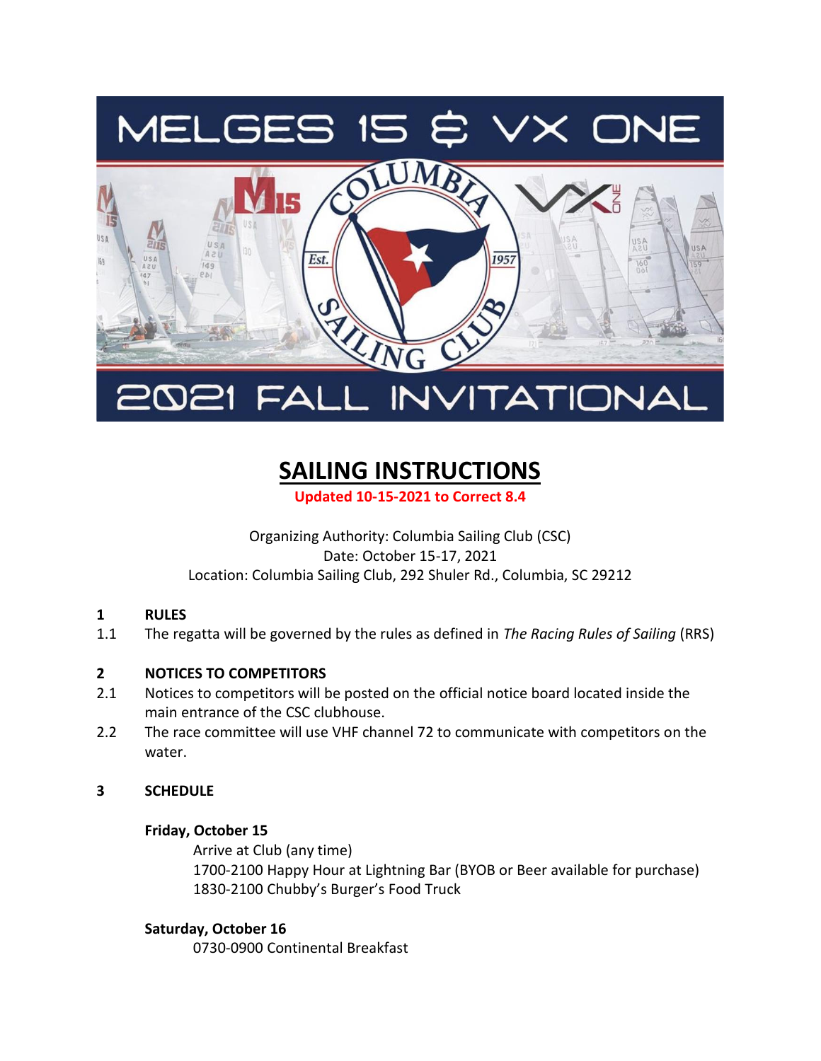

# INVITATIONAL

# **SAILING INSTRUCTIONS**

**Updated 10-15-2021 to Correct 8.4**

#### Organizing Authority: Columbia Sailing Club (CSC) Date: October 15-17, 2021 Location: Columbia Sailing Club, 292 Shuler Rd., Columbia, SC 29212

#### **1 RULES**

1.1 The regatta will be governed by the rules as defined in *The Racing Rules of Sailing* (RRS)

#### **2 NOTICES TO COMPETITORS**

- 2.1 Notices to competitors will be posted on the official notice board located inside the main entrance of the CSC clubhouse.
- 2.2 The race committee will use VHF channel 72 to communicate with competitors on the water.

#### **3 SCHEDULE**

#### **Friday, October 15**

Arrive at Club (any time) 1700-2100 Happy Hour at Lightning Bar (BYOB or Beer available for purchase) 1830-2100 Chubby's Burger's Food Truck

#### **Saturday, October 16**

0730-0900 Continental Breakfast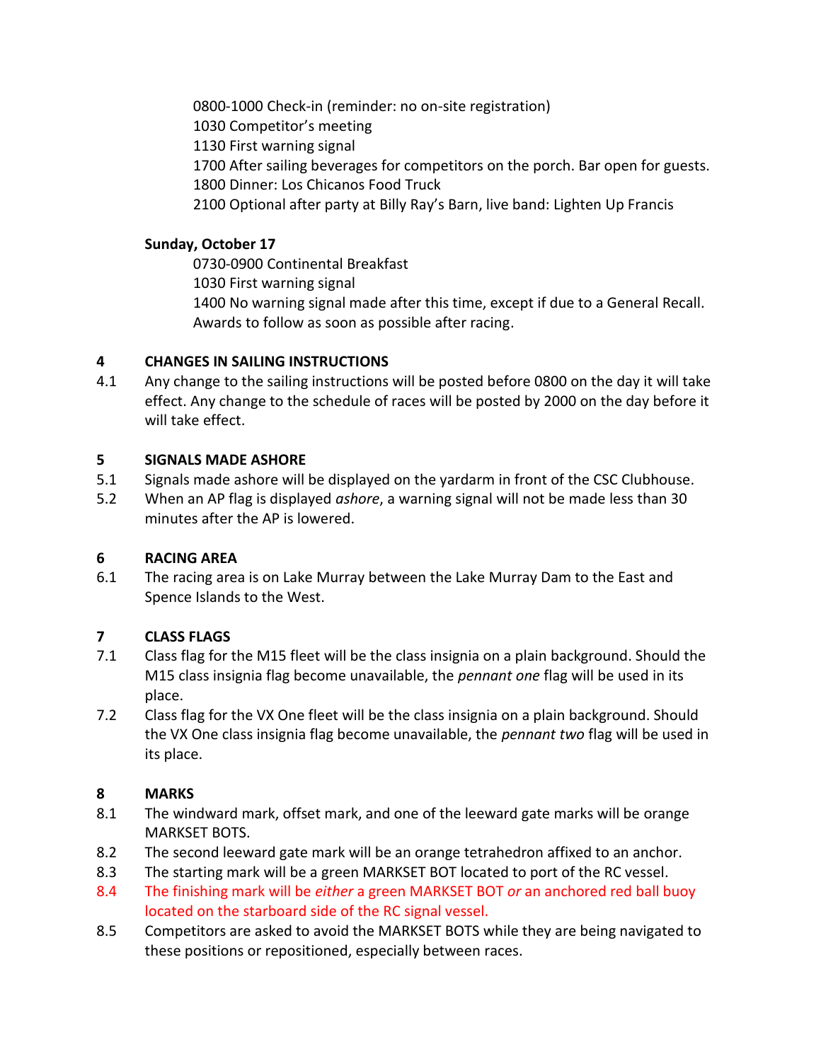0800-1000 Check-in (reminder: no on-site registration) 1030 Competitor's meeting 1130 First warning signal 1700 After sailing beverages for competitors on the porch. Bar open for guests. 1800 Dinner: Los Chicanos Food Truck 2100 Optional after party at Billy Ray's Barn, live band: Lighten Up Francis

#### **Sunday, October 17**

0730-0900 Continental Breakfast

1030 First warning signal

1400 No warning signal made after this time, except if due to a General Recall. Awards to follow as soon as possible after racing.

## **4 CHANGES IN SAILING INSTRUCTIONS**

4.1 Any change to the sailing instructions will be posted before 0800 on the day it will take effect. Any change to the schedule of races will be posted by 2000 on the day before it will take effect.

## **5 SIGNALS MADE ASHORE**

- 5.1 Signals made ashore will be displayed on the yardarm in front of the CSC Clubhouse.
- 5.2 When an AP flag is displayed *ashore*, a warning signal will not be made less than 30 minutes after the AP is lowered.

#### **6 RACING AREA**

6.1 The racing area is on Lake Murray between the Lake Murray Dam to the East and Spence Islands to the West.

# **7 CLASS FLAGS**

- 7.1 Class flag for the M15 fleet will be the class insignia on a plain background. Should the M15 class insignia flag become unavailable, the *pennant one* flag will be used in its place.
- 7.2 Class flag for the VX One fleet will be the class insignia on a plain background. Should the VX One class insignia flag become unavailable, the *pennant two* flag will be used in its place.

# **8 MARKS**

- 8.1 The windward mark, offset mark, and one of the leeward gate marks will be orange MARKSET BOTS.
- 8.2 The second leeward gate mark will be an orange tetrahedron affixed to an anchor.
- 8.3 The starting mark will be a green MARKSET BOT located to port of the RC vessel.
- 8.4 The finishing mark will be *either* a green MARKSET BOT *or* an anchored red ball buoy located on the starboard side of the RC signal vessel.
- 8.5 Competitors are asked to avoid the MARKSET BOTS while they are being navigated to these positions or repositioned, especially between races.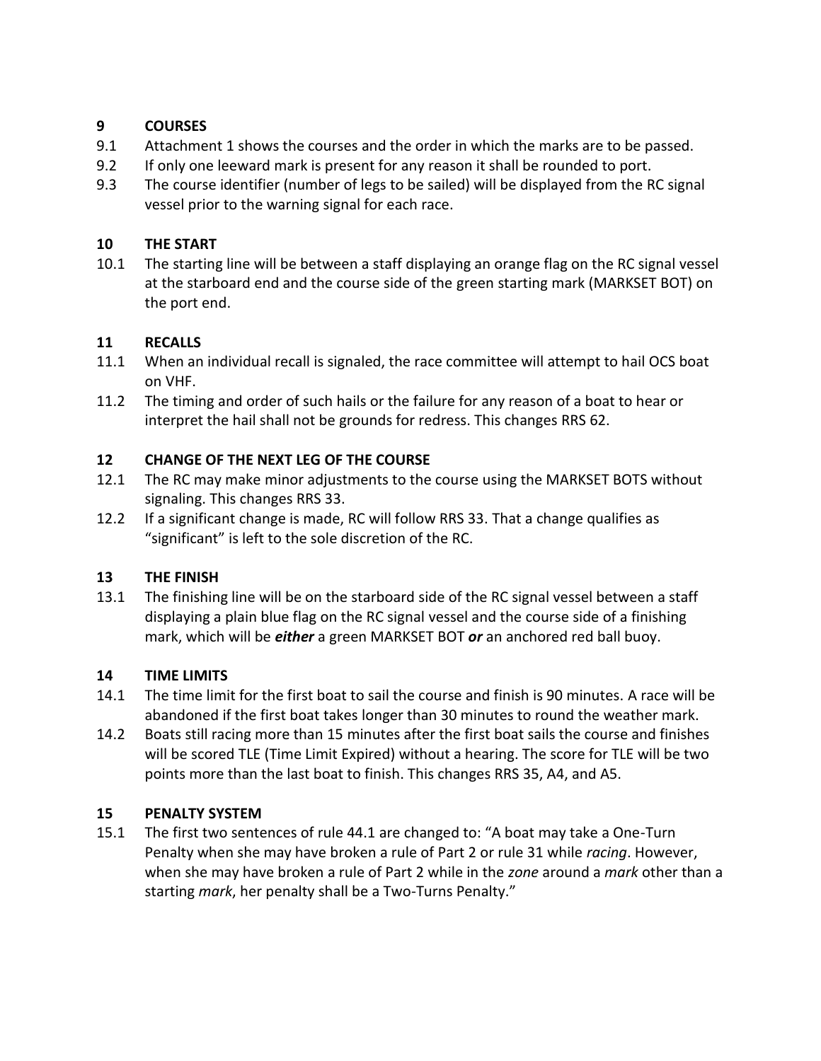#### **9 COURSES**

- 9.1 Attachment 1 shows the courses and the order in which the marks are to be passed.
- 9.2 If only one leeward mark is present for any reason it shall be rounded to port.
- 9.3 The course identifier (number of legs to be sailed) will be displayed from the RC signal vessel prior to the warning signal for each race.

#### **10 THE START**

10.1 The starting line will be between a staff displaying an orange flag on the RC signal vessel at the starboard end and the course side of the green starting mark (MARKSET BOT) on the port end.

#### **11 RECALLS**

- 11.1 When an individual recall is signaled, the race committee will attempt to hail OCS boat on VHF.
- 11.2 The timing and order of such hails or the failure for any reason of a boat to hear or interpret the hail shall not be grounds for redress. This changes RRS 62.

#### **12 CHANGE OF THE NEXT LEG OF THE COURSE**

- 12.1 The RC may make minor adjustments to the course using the MARKSET BOTS without signaling. This changes RRS 33.
- 12.2 If a significant change is made, RC will follow RRS 33. That a change qualifies as "significant" is left to the sole discretion of the RC.

#### **13 THE FINISH**

13.1 The finishing line will be on the starboard side of the RC signal vessel between a staff displaying a plain blue flag on the RC signal vessel and the course side of a finishing mark, which will be *either* a green MARKSET BOT *or* an anchored red ball buoy.

#### **14 TIME LIMITS**

- 14.1 The time limit for the first boat to sail the course and finish is 90 minutes. A race will be abandoned if the first boat takes longer than 30 minutes to round the weather mark.
- 14.2 Boats still racing more than 15 minutes after the first boat sails the course and finishes will be scored TLE (Time Limit Expired) without a hearing. The score for TLE will be two points more than the last boat to finish. This changes RRS 35, A4, and A5.

#### **15 PENALTY SYSTEM**

15.1 The first two sentences of rule 44.1 are changed to: "A boat may take a One-Turn Penalty when she may have broken a rule of Part 2 or rule 31 while *racing*. However, when she may have broken a rule of Part 2 while in the *zone* around a *mark* other than a starting *mark*, her penalty shall be a Two-Turns Penalty."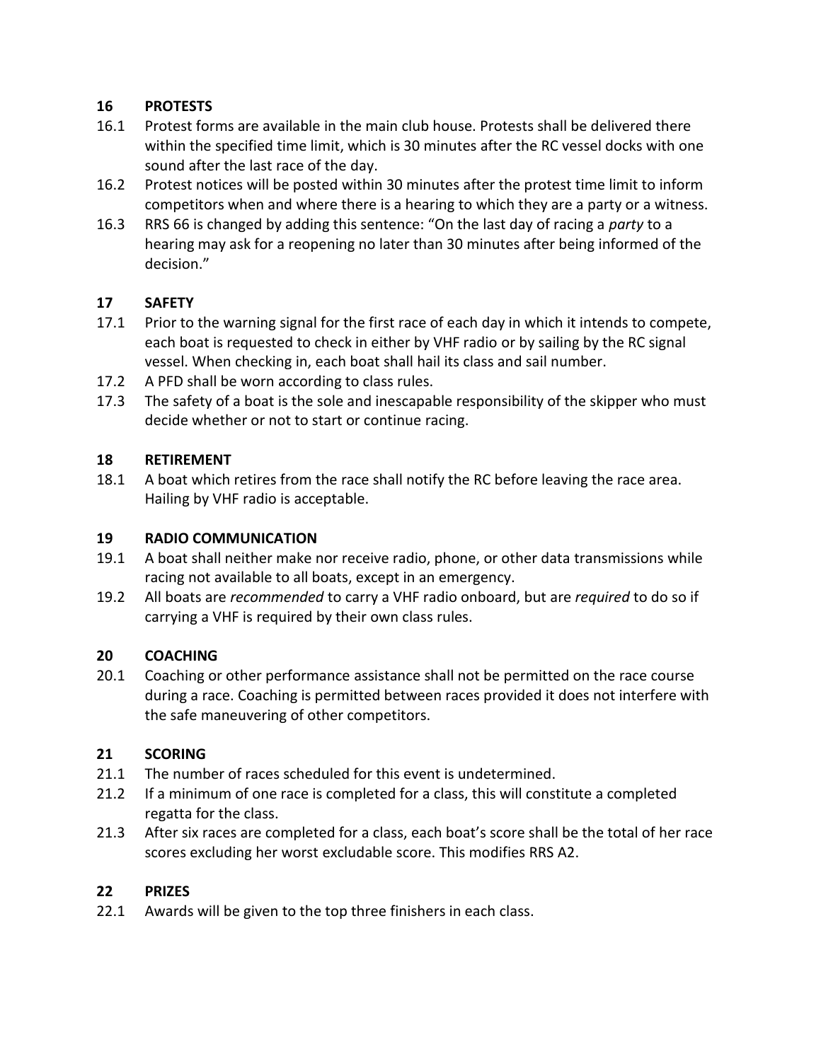#### **16 PROTESTS**

- 16.1 Protest forms are available in the main club house. Protests shall be delivered there within the specified time limit, which is 30 minutes after the RC vessel docks with one sound after the last race of the day.
- 16.2 Protest notices will be posted within 30 minutes after the protest time limit to inform competitors when and where there is a hearing to which they are a party or a witness.
- 16.3 RRS 66 is changed by adding this sentence: "On the last day of racing a *party* to a hearing may ask for a reopening no later than 30 minutes after being informed of the decision."

#### **17 SAFETY**

- 17.1 Prior to the warning signal for the first race of each day in which it intends to compete, each boat is requested to check in either by VHF radio or by sailing by the RC signal vessel. When checking in, each boat shall hail its class and sail number.
- 17.2 A PFD shall be worn according to class rules.
- 17.3 The safety of a boat is the sole and inescapable responsibility of the skipper who must decide whether or not to start or continue racing.

#### **18 RETIREMENT**

18.1 A boat which retires from the race shall notify the RC before leaving the race area. Hailing by VHF radio is acceptable.

#### **19 RADIO COMMUNICATION**

- 19.1 A boat shall neither make nor receive radio, phone, or other data transmissions while racing not available to all boats, except in an emergency.
- 19.2 All boats are *recommended* to carry a VHF radio onboard, but are *required* to do so if carrying a VHF is required by their own class rules.

#### **20 COACHING**

20.1 Coaching or other performance assistance shall not be permitted on the race course during a race. Coaching is permitted between races provided it does not interfere with the safe maneuvering of other competitors.

#### **21 SCORING**

- 21.1 The number of races scheduled for this event is undetermined.
- 21.2 If a minimum of one race is completed for a class, this will constitute a completed regatta for the class.
- 21.3 After six races are completed for a class, each boat's score shall be the total of her race scores excluding her worst excludable score. This modifies RRS A2.

#### **22 PRIZES**

22.1 Awards will be given to the top three finishers in each class.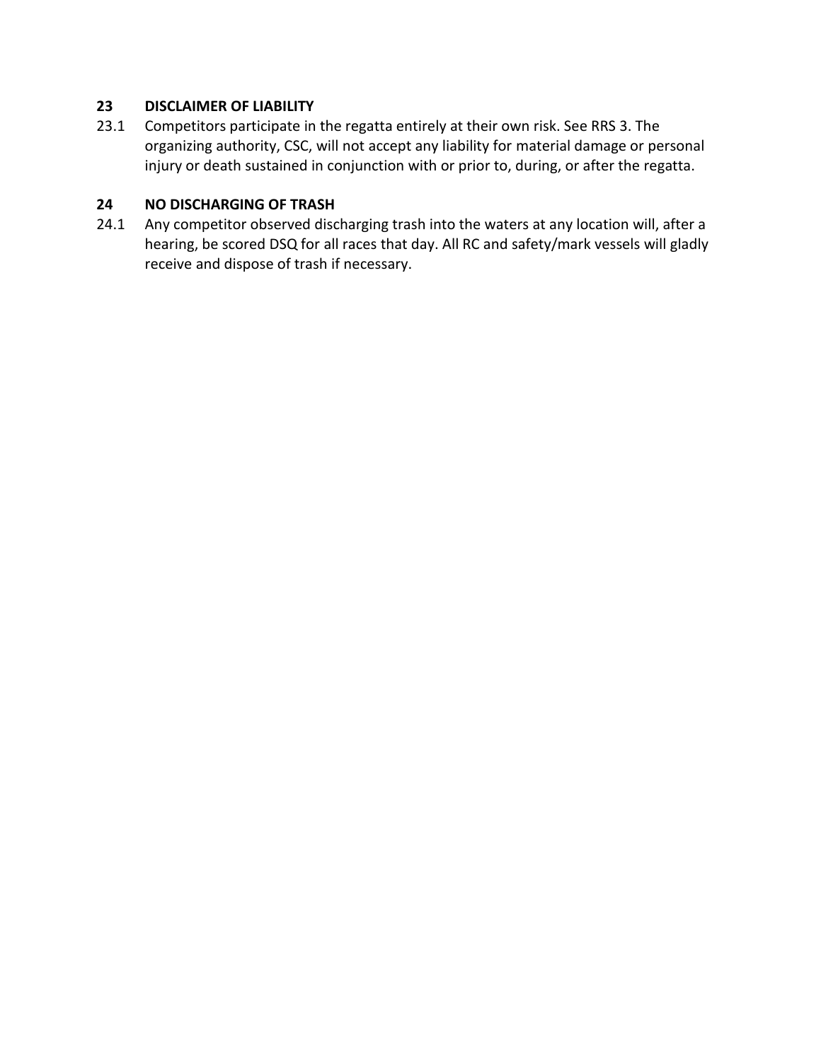#### **23 DISCLAIMER OF LIABILITY**

23.1 Competitors participate in the regatta entirely at their own risk. See RRS 3. The organizing authority, CSC, will not accept any liability for material damage or personal injury or death sustained in conjunction with or prior to, during, or after the regatta.

#### **24 NO DISCHARGING OF TRASH**

24.1 Any competitor observed discharging trash into the waters at any location will, after a hearing, be scored DSQ for all races that day. All RC and safety/mark vessels will gladly receive and dispose of trash if necessary.